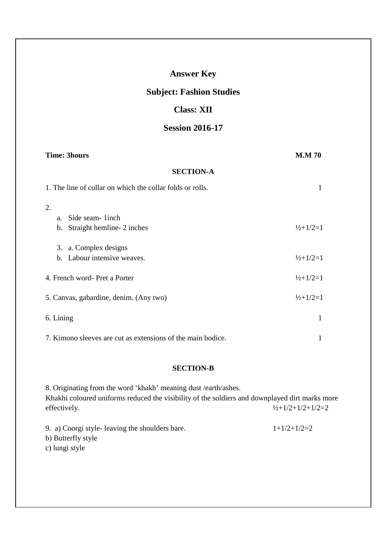| <b>Class: XII</b>                                              |                                 |
|----------------------------------------------------------------|---------------------------------|
| <b>Session 2016-17</b>                                         |                                 |
| <b>Time: 3hours</b>                                            | <b>M.M 70</b>                   |
| <b>SECTION-A</b>                                               |                                 |
| 1. The line of collar on which the collar folds or rolls.      | 1                               |
| 2.<br>Side seam-linch<br>a.<br>Straight hemline-2 inches<br>b. | $\frac{1}{2} + \frac{1}{2} = 1$ |
| a. Complex designs<br>3.<br>b. Labour intensive weaves.        | $\frac{1}{2} + \frac{1}{2} = 1$ |
| 4. French word-Pret a Porter                                   | $\frac{1}{2} + \frac{1}{2} = 1$ |
| 5. Canvas, gabardine, denim. (Any two)                         | $\frac{1}{2} + \frac{1}{2} = 1$ |
| 6. Lining                                                      | 1                               |
| 7. Kimono sleeves are cut as extensions of the main bodice.    | 1                               |

**Answer Key** 

**Subject: Fashion Studies** 

# **SECTION-B**

8. Originating from the word 'khakh' meaning dust /earth/ashes. Khakhi coloured uniforms reduced the visibility of the soldiers and downplayed dirt marks more effectively.  $\frac{1}{2} + \frac{1}{2} + \frac{1}{2} + \frac{1}{2} + \frac{1}{2} = 2$ 9. a) Coorgi style- leaving the shoulders bare.  $1+1/2+1/2=2$ 

b) Butterfly style

c) lungi style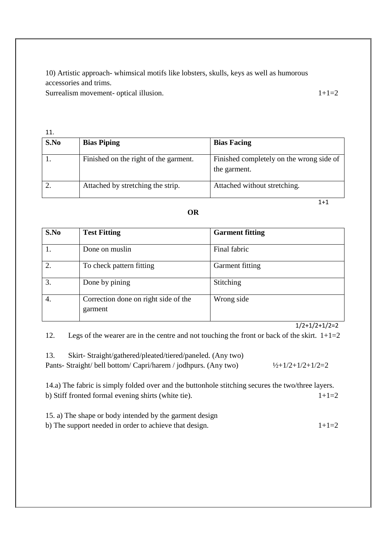10) Artistic approach- whimsical motifs like lobsters, skulls, keys as well as humorous accessories and trims.

Surrealism movement- optical illusion. 1+1=2

| 11.  |                                       |                                                          |
|------|---------------------------------------|----------------------------------------------------------|
| S.No | <b>Bias Piping</b>                    | <b>Bias Facing</b>                                       |
|      | Finished on the right of the garment. | Finished completely on the wrong side of<br>the garment. |
|      | Attached by stretching the strip.     | Attached without stretching.                             |
|      |                                       | 1+1                                                      |

#### **OR**

| S.No | <b>Test Fitting</b>                             | <b>Garment fitting</b> |
|------|-------------------------------------------------|------------------------|
|      | Done on muslin                                  | Final fabric           |
| 2.   | To check pattern fitting                        | Garment fitting        |
| 3.   | Done by pining                                  | Stitching              |
| 4.   | Correction done on right side of the<br>garment | Wrong side             |

### $1/2+1/2+1/2=2$

12. Legs of the wearer are in the centre and not touching the front or back of the skirt.  $1+1=2$ 

| Skirt-Straight/gathered/pleated/tiered/paneled. (Any two)      |                              |
|----------------------------------------------------------------|------------------------------|
| Pants- Straight/bell bottom/ Capri/harem / jodhpurs. (Any two) | $\frac{1}{2}$ +1/2+1/2+1/2=2 |

14.a) The fabric is simply folded over and the buttonhole stitching secures the two/three layers. b) Stiff fronted formal evening shirts (white tie).  $1+1=2$ 

15. a) The shape or body intended by the garment design b) The support needed in order to achieve that design.  $1+1=2$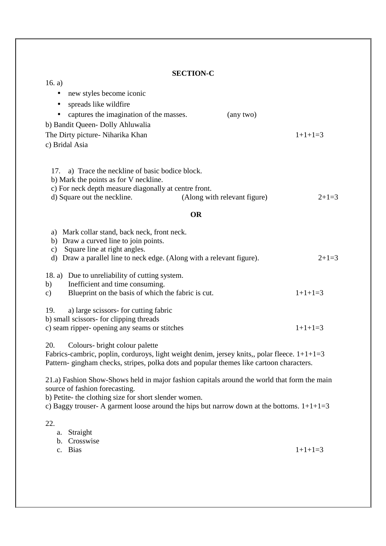# **SECTION-C**

| 16. a)                                                                                                                                                                                                                             |           |
|------------------------------------------------------------------------------------------------------------------------------------------------------------------------------------------------------------------------------------|-----------|
| new styles become iconic                                                                                                                                                                                                           |           |
| spreads like wildfire<br>٠<br>captures the imagination of the masses.<br>(any two)<br>b) Bandit Queen-Dolly Ahluwalia                                                                                                              |           |
| The Dirty picture- Niharika Khan<br>c) Bridal Asia                                                                                                                                                                                 | $1+1+1=3$ |
|                                                                                                                                                                                                                                    |           |
| a) Trace the neckline of basic bodice block.<br>17.<br>b) Mark the points as for V neckline.<br>c) For neck depth measure diagonally at centre front.                                                                              |           |
| d) Square out the neckline.<br>(Along with relevant figure)                                                                                                                                                                        | $2+1=3$   |
| <b>OR</b>                                                                                                                                                                                                                          |           |
| a) Mark collar stand, back neck, front neck.<br>b) Draw a curved line to join points.<br>Square line at right angles.<br>$\mathbf{c})$<br>Draw a parallel line to neck edge. (Along with a relevant figure).<br>d)                 | $2+1=3$   |
| 18. a) Due to unreliability of cutting system.<br>Inefficient and time consuming.<br>b)<br>Blueprint on the basis of which the fabric is cut.<br>c)                                                                                | $1+1+1=3$ |
| a) large scissors- for cutting fabric<br>19.<br>b) small scissors- for clipping threads<br>c) seam ripper- opening any seams or stitches                                                                                           | $1+1+1=3$ |
| 20.<br>Colours- bright colour palette<br>Fabrics-cambric, poplin, corduroys, light weight denim, jersey knits,, polar fleece. $1+1+1=3$<br>Pattern-gingham checks, stripes, polka dots and popular themes like cartoon characters. |           |
| 21.a) Fashion Show-Shows held in major fashion capitals around the world that form the main<br>source of fashion forecasting.                                                                                                      |           |
| b) Petite- the clothing size for short slender women.<br>c) Baggy trouser- A garment loose around the hips but narrow down at the bottoms. $1+1+1=3$                                                                               |           |
| 22.<br>Straight<br>a.<br>Crosswise<br>b.                                                                                                                                                                                           |           |

c. Bias

 $1+1+1=3$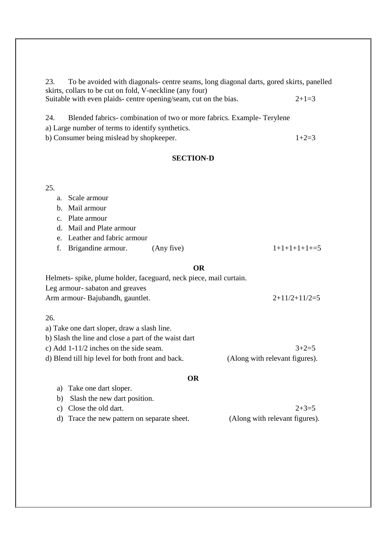23. To be avoided with diagonals- centre seams, long diagonal darts, gored skirts, panelled skirts, collars to be cut on fold, V-neckline (any four) Suitable with even plaids- centre opening/seam, cut on the bias.  $2+1=3$ 

24. Blended fabrics- combination of two or more fabrics. Example- Terylene a) Large number of terms to identify synthetics. b) Consumer being mislead by shopkeeper.  $1+2=3$ 

# **SECTION-D**

#### 25.

## a. Scale armour

b. Mail armour

c. Plate armour

d. Mail and Plate armour

e. Leather and fabric armour

f. Brigandine armour. (Any five)  $1+1+1+1+1+5$ 

#### **OR**

| Helmets- spike, plume holder, faceguard, neck piece, mail curtain. |                 |
|--------------------------------------------------------------------|-----------------|
| Leg armour-sabaton and greaves                                     |                 |
| Arm armour- Bajubandh, gauntlet.                                   | $2+11/2+11/2=5$ |

26.

a) Take one dart sloper, draw a slash line.

b) Slash the line and close a part of the waist dart

c) Add 1-11/2 inches on the side seam.  $3+2=5$ 

d) Blend till hip level for both front and back. (Along with relevant figures).

### **OR**

a) Take one dart sloper.

b) Slash the new dart position.

c) Close the old dart.  $2+3=5$ 

- d) Trace the new pattern on separate sheet. (Along with relevant figures).
-